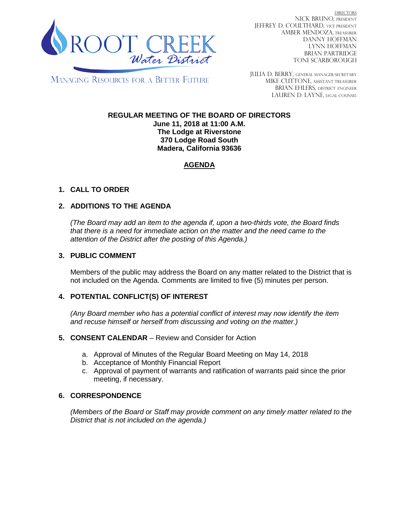

DIRECTORS NICK BRUNO, PRESIDENT JEFFREY D. COULTHARD, VICE PRESIDENT AMBER MENDOZA, TREASURER DANNY HOFFMAN LYNN HOFFMAN BRIAN PARTRIDGE TONI SCARBOROUGH

MANAGING RESOURCES FOR A BETTER FUTURE

JULIA D. BERRY, GENERAL MANAGER/secretary MIKE CUTTONE, Assistant treasurer BRIAN EHLERS, DISTRICT ENGINEER LAUREN D. LAYNE, LEGAL COUNSEL

# **REGULAR MEETING OF THE BOARD OF DIRECTORS**

**June 11, 2018 at 11:00 A.M. The Lodge at Riverstone 370 Lodge Road South Madera, California 93636**

# **AGENDA**

## **1. CALL TO ORDER**

## **2. ADDITIONS TO THE AGENDA**

*(The Board may add an item to the agenda if, upon a two-thirds vote, the Board finds that there is a need for immediate action on the matter and the need came to the attention of the District after the posting of this Agenda.)*

#### **3. PUBLIC COMMENT**

Members of the public may address the Board on any matter related to the District that is not included on the Agenda. Comments are limited to five (5) minutes per person.

### **4. POTENTIAL CONFLICT(S) OF INTEREST**

*(Any Board member who has a potential conflict of interest may now identify the item and recuse himself or herself from discussing and voting on the matter.)*

#### **5. CONSENT CALENDAR** – Review and Consider for Action

- a. Approval of Minutes of the Regular Board Meeting on May 14, 2018
- b. Acceptance of Monthly Financial Report
- c. Approval of payment of warrants and ratification of warrants paid since the prior meeting, if necessary.

### **6. CORRESPONDENCE**

*(Members of the Board or Staff may provide comment on any timely matter related to the District that is not included on the agenda.)*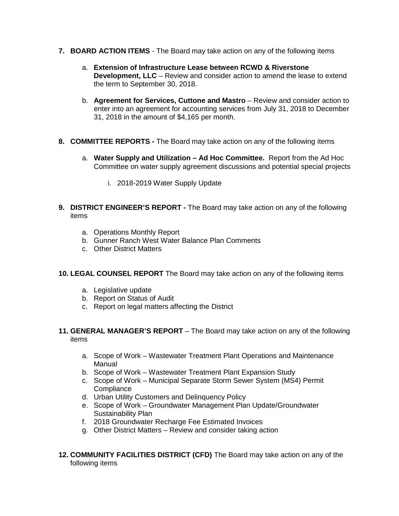- **7. BOARD ACTION ITEMS**  The Board may take action on any of the following items
	- a. **Extension of Infrastructure Lease between RCWD & Riverstone Development, LLC** – Review and consider action to amend the lease to extend the term to September 30, 2018.
	- b. **Agreement for Services, Cuttone and Mastro** Review and consider action to enter into an agreement for accounting services from July 31, 2018 to December 31, 2018 in the amount of \$4,165 per month.
- **8. COMMITTEE REPORTS -** The Board may take action on any of the following items
	- a. **Water Supply and Utilization – Ad Hoc Committee.** Report from the Ad Hoc Committee on water supply agreement discussions and potential special projects
		- i. 2018-2019 Water Supply Update
- **9. DISTRICT ENGINEER'S REPORT -** The Board may take action on any of the following items
	- a. Operations Monthly Report
	- b. Gunner Ranch West Water Balance Plan Comments
	- c. Other District Matters

### **10. LEGAL COUNSEL REPORT** The Board may take action on any of the following items

- a. Legislative update
- b. Report on Status of Audit
- c. Report on legal matters affecting the District
- **11. GENERAL MANAGER'S REPORT** The Board may take action on any of the following items
	- a. Scope of Work Wastewater Treatment Plant Operations and Maintenance Manual
	- b. Scope of Work Wastewater Treatment Plant Expansion Study
	- c. Scope of Work Municipal Separate Storm Sewer System (MS4) Permit **Compliance**
	- d. Urban Utility Customers and Delinquency Policy
	- e. Scope of Work Groundwater Management Plan Update/Groundwater Sustainability Plan
	- f. 2018 Groundwater Recharge Fee Estimated Invoices
	- g. Other District Matters Review and consider taking action
- **12. COMMUNITY FACILITIES DISTRICT (CFD)** The Board may take action on any of the following items